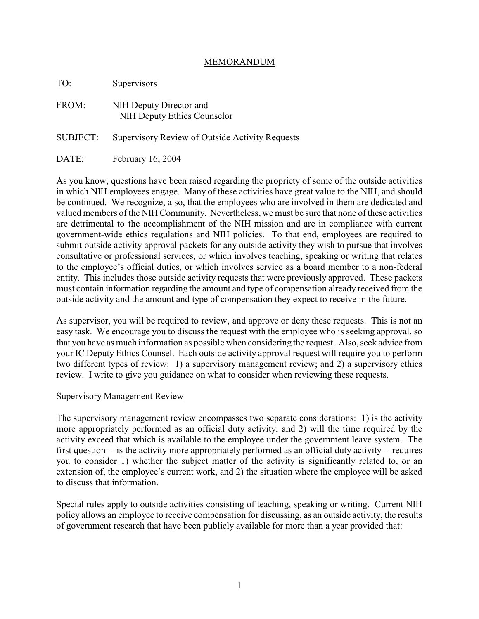## MEMORANDUM

| TO:             | Supervisors                                            |
|-----------------|--------------------------------------------------------|
| FROM:           | NIH Deputy Director and<br>NIH Deputy Ethics Counselor |
| <b>SUBJECT:</b> | Supervisory Review of Outside Activity Requests        |
| DATE:           | February 16, 2004                                      |

As you know, questions have been raised regarding the propriety of some of the outside activities in which NIH employees engage. Many of these activities have great value to the NIH, and should be continued. We recognize, also, that the employees who are involved in them are dedicated and valued members of the NIH Community. Nevertheless, we must be sure that none of these activities are detrimental to the accomplishment of the NIH mission and are in compliance with current government-wide ethics regulations and NIH policies. To that end, employees are required to submit outside activity approval packets for any outside activity they wish to pursue that involves consultative or professional services, or which involves teaching, speaking or writing that relates to the employee's official duties, or which involves service as a board member to a non-federal entity. This includes those outside activity requests that were previously approved. These packets must contain information regarding the amount and type of compensation already received from the outside activity and the amount and type of compensation they expect to receive in the future.

As supervisor, you will be required to review, and approve or deny these requests. This is not an easy task. We encourage you to discuss the request with the employee who is seeking approval, so that you have as much information as possible when considering the request. Also, seek advice from your IC Deputy Ethics Counsel. Each outside activity approval request will require you to perform two different types of review: 1) a supervisory management review; and 2) a supervisory ethics review. I write to give you guidance on what to consider when reviewing these requests.

## Supervisory Management Review

The supervisory management review encompasses two separate considerations: 1) is the activity more appropriately performed as an official duty activity; and 2) will the time required by the activity exceed that which is available to the employee under the government leave system. The first question -- is the activity more appropriately performed as an official duty activity -- requires you to consider 1) whether the subject matter of the activity is significantly related to, or an extension of, the employee's current work, and 2) the situation where the employee will be asked to discuss that information.

Special rules apply to outside activities consisting of teaching, speaking or writing. Current NIH policy allows an employee to receive compensation for discussing, as an outside activity, the results of government research that have been publicly available for more than a year provided that: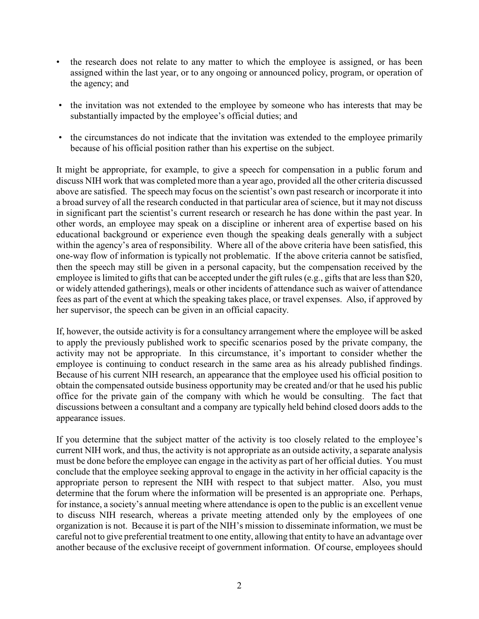- the research does not relate to any matter to which the employee is assigned, or has been assigned within the last year, or to any ongoing or announced policy, program, or operation of the agency; and
- the invitation was not extended to the employee by someone who has interests that may be substantially impacted by the employee's official duties; and
- the circumstances do not indicate that the invitation was extended to the employee primarily because of his official position rather than his expertise on the subject.

It might be appropriate, for example, to give a speech for compensation in a public forum and discuss NIH work that was completed more than a year ago, provided all the other criteria discussed above are satisfied. The speech may focus on the scientist's own past research or incorporate it into a broad survey of all the research conducted in that particular area of science, but it may not discuss in significant part the scientist's current research or research he has done within the past year. In other words, an employee may speak on a discipline or inherent area of expertise based on his educational background or experience even though the speaking deals generally with a subject within the agency's area of responsibility. Where all of the above criteria have been satisfied, this one-way flow of information is typically not problematic. If the above criteria cannot be satisfied, then the speech may still be given in a personal capacity, but the compensation received by the employee is limited to gifts that can be accepted under the gift rules (e.g., gifts that are less than \$20, or widely attended gatherings), meals or other incidents of attendance such as waiver of attendance fees as part of the event at which the speaking takes place, or travel expenses. Also, if approved by her supervisor, the speech can be given in an official capacity.

If, however, the outside activity is for a consultancy arrangement where the employee will be asked to apply the previously published work to specific scenarios posed by the private company, the activity may not be appropriate. In this circumstance, it's important to consider whether the employee is continuing to conduct research in the same area as his already published findings. Because of his current NIH research, an appearance that the employee used his official position to obtain the compensated outside business opportunity may be created and/or that he used his public office for the private gain of the company with which he would be consulting. The fact that discussions between a consultant and a company are typically held behind closed doors adds to the appearance issues.

If you determine that the subject matter of the activity is too closely related to the employee's current NIH work, and thus, the activity is not appropriate as an outside activity, a separate analysis must be done before the employee can engage in the activity as part of her official duties. You must conclude that the employee seeking approval to engage in the activity in her official capacity is the appropriate person to represent the NIH with respect to that subject matter. Also, you must determine that the forum where the information will be presented is an appropriate one. Perhaps, for instance, a society's annual meeting where attendance is open to the public is an excellent venue to discuss NIH research, whereas a private meeting attended only by the employees of one organization is not. Because it is part of the NIH's mission to disseminate information, we must be careful not to give preferential treatment to one entity, allowing that entity to have an advantage over another because of the exclusive receipt of government information. Of course, employees should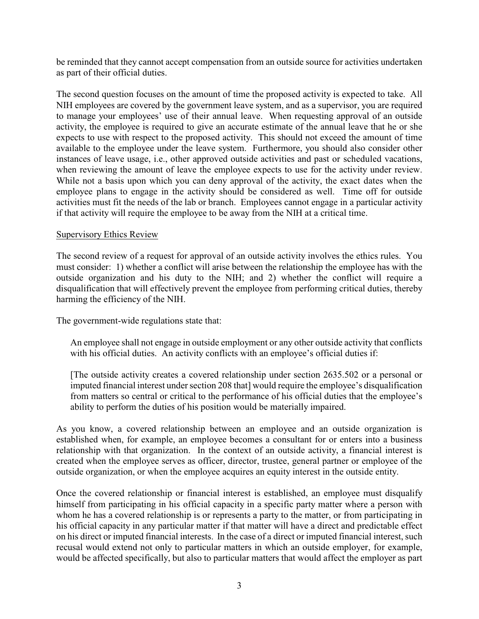be reminded that they cannot accept compensation from an outside source for activities undertaken as part of their official duties.

The second question focuses on the amount of time the proposed activity is expected to take. All NIH employees are covered by the government leave system, and as a supervisor, you are required to manage your employees' use of their annual leave. When requesting approval of an outside activity, the employee is required to give an accurate estimate of the annual leave that he or she expects to use with respect to the proposed activity. This should not exceed the amount of time available to the employee under the leave system. Furthermore, you should also consider other instances of leave usage, i.e., other approved outside activities and past or scheduled vacations, when reviewing the amount of leave the employee expects to use for the activity under review. While not a basis upon which you can deny approval of the activity, the exact dates when the employee plans to engage in the activity should be considered as well. Time off for outside activities must fit the needs of the lab or branch. Employees cannot engage in a particular activity if that activity will require the employee to be away from the NIH at a critical time.

## Supervisory Ethics Review

The second review of a request for approval of an outside activity involves the ethics rules. You must consider: 1) whether a conflict will arise between the relationship the employee has with the outside organization and his duty to the NIH; and 2) whether the conflict will require a disqualification that will effectively prevent the employee from performing critical duties, thereby harming the efficiency of the NIH.

The government-wide regulations state that:

An employee shall not engage in outside employment or any other outside activity that conflicts with his official duties. An activity conflicts with an employee's official duties if:

[The outside activity creates a covered relationship under section 2635.502 or a personal or imputed financial interest under section 208 that] would require the employee's disqualification from matters so central or critical to the performance of his official duties that the employee's ability to perform the duties of his position would be materially impaired.

As you know, a covered relationship between an employee and an outside organization is established when, for example, an employee becomes a consultant for or enters into a business relationship with that organization. In the context of an outside activity, a financial interest is created when the employee serves as officer, director, trustee, general partner or employee of the outside organization, or when the employee acquires an equity interest in the outside entity.

Once the covered relationship or financial interest is established, an employee must disqualify himself from participating in his official capacity in a specific party matter where a person with whom he has a covered relationship is or represents a party to the matter, or from participating in his official capacity in any particular matter if that matter will have a direct and predictable effect on his direct or imputed financial interests. In the case of a direct or imputed financial interest, such recusal would extend not only to particular matters in which an outside employer, for example, would be affected specifically, but also to particular matters that would affect the employer as part